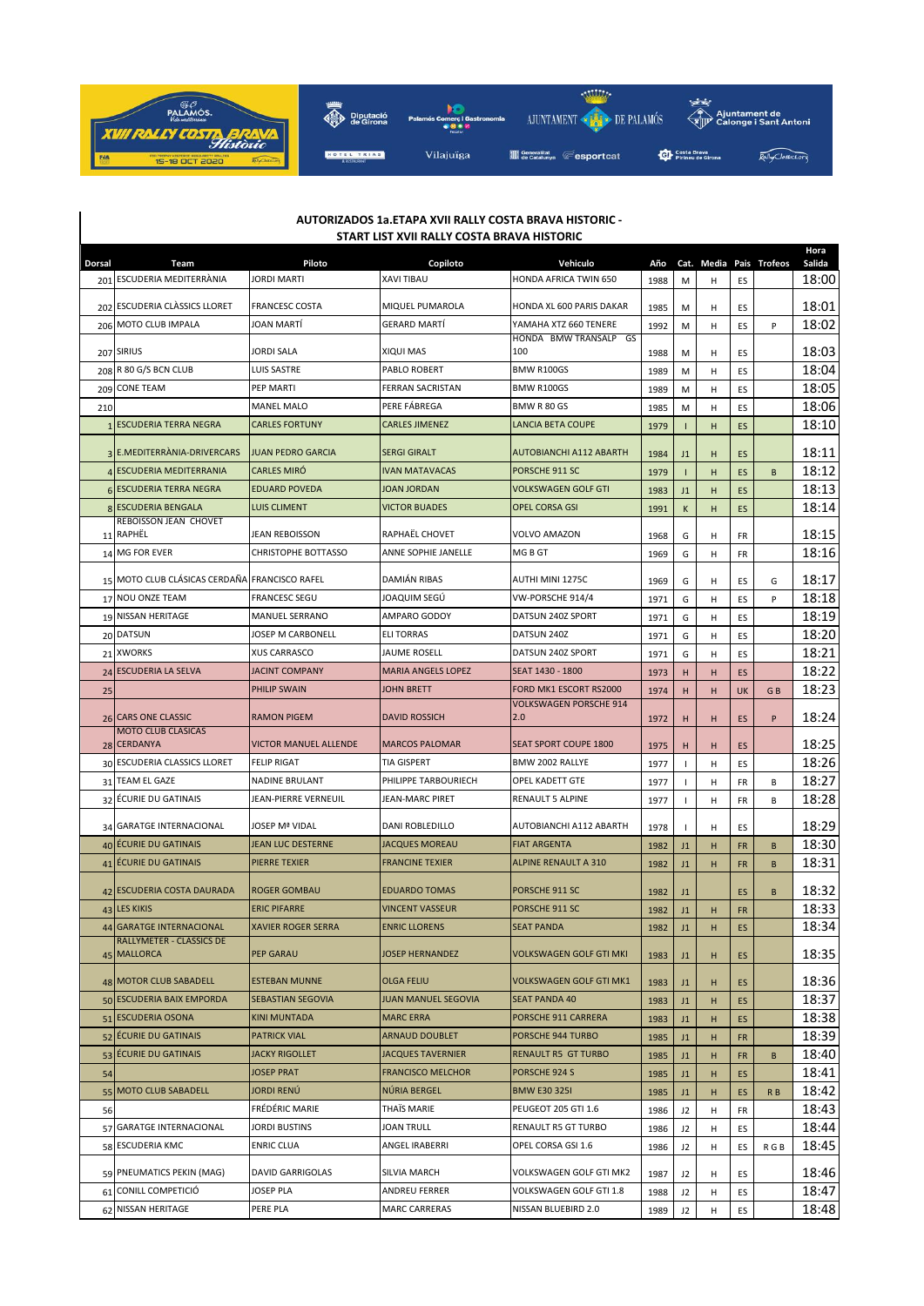

| AUTORIZADOS 1a.ETAPA XVII RALLY COSTA BRAVA HISTORIC -<br>START LIST XVII RALLY COSTA BRAVA HISTORIC |                                                |                              |                           |                                      |      |                |            |           |              |                |
|------------------------------------------------------------------------------------------------------|------------------------------------------------|------------------------------|---------------------------|--------------------------------------|------|----------------|------------|-----------|--------------|----------------|
| Dorsal                                                                                               | Team                                           | Piloto                       | Copiloto                  | Vehiculo                             | Año  |                | Cat. Media |           | Pais Trofeos | Hora<br>Salida |
|                                                                                                      | 201 ESCUDERIA MEDITERRÀNIA                     | <b>JORDI MARTI</b>           | <b>XAVI TIBAU</b>         | HONDA AFRICA TWIN 650                | 1988 | М              | н          | ES        |              | 18:00          |
|                                                                                                      | 202 ESCUDERIA CLASSICS LLORET                  | <b>FRANCESC COSTA</b>        | MIQUEL PUMAROLA           | HONDA XL 600 PARIS DAKAR             | 1985 | M              | н          | ES        |              | 18:01          |
|                                                                                                      | 206 MOTO CLUB IMPALA                           | JOAN MARTI                   | <b>GERARD MARTI</b>       | YAMAHA XTZ 660 TENERE                | 1992 | М              | н          | ES        | P            | 18:02          |
|                                                                                                      | 207 SIRIUS                                     | <b>JORDI SALA</b>            | XIQUI MAS                 | HONDA BMW TRANSALP GS<br>100         | 1988 | M              | н          | ES        |              | 18:03          |
|                                                                                                      | 208 R 80 G/S BCN CLUB                          | LUIS SASTRE                  | <b>PABLO ROBERT</b>       | BMW R100GS                           | 1989 | M              | н          | ES        |              | 18:04          |
|                                                                                                      | 209 CONE TEAM                                  | PEP MARTI                    | <b>FERRAN SACRISTAN</b>   | <b>BMW R100GS</b>                    | 1989 | M              | н          | ES        |              | 18:05          |
| 210                                                                                                  |                                                | <b>MANEL MALO</b>            | PERE FABREGA              | BMW R 80 GS                          | 1985 | M              | н          | ES        |              | 18:06          |
|                                                                                                      | 1 ESCUDERIA TERRA NEGRA                        | <b>CARLES FORTUNY</b>        | <b>CARLES JIMENEZ</b>     | <b>LANCIA BETA COUPE</b>             | 1979 |                | н          | ES        |              | 18:10          |
|                                                                                                      | 3 E.MEDITERRÀNIA-DRIVERCARS                    | <b>JUAN PEDRO GARCIA</b>     | <b>SERGI GIRALT</b>       | <b>AUTOBIANCHI A112 ABARTH</b>       | 1984 | J1             | H          | ES        |              | 18:11          |
|                                                                                                      | 4 ESCUDERIA MEDITERRANIA                       | <b>CARLES MIRÓ</b>           | <b>IVAN MATAVACAS</b>     | PORSCHE 911 SC                       | 1979 | т              | Н          | ES        | B            | 18:12          |
|                                                                                                      | <b>6 ESCUDERIA TERRA NEGRA</b>                 | <b>EDUARD POVEDA</b>         | <b>JOAN JORDAN</b>        | <b>VOLKSWAGEN GOLF GTI</b>           | 1983 | J1             | H          | ES        |              | 18:13          |
|                                                                                                      | <b>8 ESCUDERIA BENGALA</b>                     | <b>LUIS CLIMENT</b>          | <b>VICTOR BUADES</b>      | <b>OPEL CORSA GSI</b>                | 1991 | K              | H          | ES        |              | 18:14          |
|                                                                                                      | REBOISSON JEAN CHOVET<br>11 RAPHËL             | <b>JEAN REBOISSON</b>        | RAPHAËL CHOVET            | VOLVO AMAZON                         | 1968 | G              | н          | FR        |              | 18:15          |
| 14                                                                                                   | <b>MG FOR EVER</b>                             | <b>CHRISTOPHE BOTTASSO</b>   | ANNE SOPHIE JANELLE       | MG B GT                              | 1969 | G              | Н          | FR        |              | 18:16          |
|                                                                                                      | 15 MOTO CLUB CLÁSICAS CERDAÑA FRANCISCO RAFEL  |                              | <b>DAMIÁN RIBAS</b>       | AUTHI MINI 1275C                     | 1969 | G              | н          | ES        | G            | 18:17          |
| 17                                                                                                   | <b>NOU ONZE TEAM</b>                           | <b>FRANCESC SEGU</b>         | JOAQUIM SEGÚ              | VW-PORSCHE 914/4                     | 1971 | G              | н          | ES        | P            | 18:18          |
|                                                                                                      | 19 NISSAN HERITAGE                             | <b>MANUEL SERRANO</b>        | AMPARO GODOY              | DATSUN 240Z SPORT                    | 1971 | G              | н          | ES        |              | 18:19          |
|                                                                                                      | 20 DATSUN                                      | JOSEP M CARBONELL            | <b>ELITORRAS</b>          | DATSUN 240Z                          | 1971 | G              | н          | ES        |              | 18:20          |
|                                                                                                      | 21 XWORKS                                      | <b>XUS CARRASCO</b>          | JAUME ROSELL              | DATSUN 240Z SPORT                    | 1971 | G              | н          | ES        |              | 18:21          |
| 24                                                                                                   | <b>ESCUDERIA LA SELVA</b>                      | <b>JACINT COMPANY</b>        | <b>MARIA ANGELS LOPEZ</b> | SEAT 1430 - 1800                     | 1973 | н              | н          | ES        |              | 18:22          |
| 25                                                                                                   |                                                | PHILIP SWAIN                 | JOHN BRETT                | FORD MK1 ESCORT RS2000               | 1974 | н              | H          | UK        | GB           | 18:23          |
|                                                                                                      | 26 CARS ONE CLASSIC                            | <b>RAMON PIGEM</b>           | <b>DAVID ROSSICH</b>      | <b>VOLKSWAGEN PORSCHE 914</b><br>2.0 | 1972 | н              | н          | ES        | P            | 18:24          |
|                                                                                                      | <b>MOTO CLUB CLASICAS</b><br>28 CERDANYA       | <b>VICTOR MANUEL ALLENDE</b> | <b>MARCOS PALOMAR</b>     | <b>SEAT SPORT COUPE 1800</b>         | 1975 | н              | н          | ES        |              | 18:25          |
|                                                                                                      | 30 ESCUDERIA CLASSICS LLORET                   | <b>FELIP RIGAT</b>           | TIA GISPERT               | BMW 2002 RALLYE                      | 1977 | 1              | н          | ES        |              | 18:26          |
| 31                                                                                                   | <b>TEAM EL GAZE</b>                            | NADINE BRULANT               | PHILIPPE TARBOURIECH      | OPEL KADETT GTE                      | 1977 | J.             | н          | FR        | В            | 18:27          |
|                                                                                                      | 32 ECURIE DU GATINAIS                          | JEAN-PIERRE VERNEUIL         | JEAN-MARC PIRET           | <b>RENAULT 5 ALPINE</b>              | 1977 | $\mathbf{I}$   | н          | FR        | B            | 18:28          |
|                                                                                                      | 34 GARATGE INTERNACIONAL                       | <b>JOSEP Mª VIDAL</b>        | <b>DANI ROBLEDILLO</b>    | AUTOBIANCHI A112 ABARTH              | 1978 | L              | н          | ES        |              | 18:29          |
|                                                                                                      | 40 ÉCURIE DU GATINAIS                          | <b>JEAN LUC DESTERNE</b>     | <b>JACQUES MOREAU</b>     | <b>FIAT ARGENTA</b>                  | 1982 | J1             | н          | <b>FR</b> | B            | 18:30          |
| 41                                                                                                   | <b>ECURIE DU GATINAIS</b>                      | <b>PIERRE TEXIER</b>         | <b>FRANCINE TEXIER</b>    | <b>ALPINE RENAULT A 310</b>          | 1982 | J1             | н          | <b>FR</b> | B            | 18:31          |
|                                                                                                      | 42 ESCUDERIA COSTA DAURADA                     | <b>ROGER GOMBAU</b>          | <b>EDUARDO TOMAS</b>      | PORSCHE 911 SC                       | 1982 | J1             |            | ES        | B            | 18:32          |
|                                                                                                      | 43 LES KIKIS                                   | <b>ERIC PIFARRE</b>          | <b>VINCENT VASSEUR</b>    | PORSCHE 911 SC                       | 1982 | J1             | н          | <b>FR</b> |              | 18:33          |
|                                                                                                      | 44 GARATGE INTERNACIONAL                       | <b>XAVIER ROGER SERRA</b>    | <b>ENRIC LLORENS</b>      | <b>SEAT PANDA</b>                    | 1982 | J1             | н          | ES        |              | 18:34          |
|                                                                                                      | <b>RALLYMETER - CLASSICS DE</b><br>45 MALLORCA | <b>PEP GARAU</b>             | <b>JOSEP HERNANDEZ</b>    | <b>VOLKSWAGEN GOLF GTI MKI</b>       | 1983 | J1             | н          | ES        |              | 18:35          |
|                                                                                                      | 48 MOTOR CLUB SABADELL                         | <b>ESTEBAN MUNNE</b>         | <b>OLGA FELIU</b>         | VOLKSWAGEN GOLF GTI MK1              | 1983 | J1             | н          | ES        |              | 18:36          |
|                                                                                                      | 50 ESCUDERIA BAIX EMPORDA                      | SEBASTIAN SEGOVIA            | JUAN MANUEL SEGOVIA       | <b>SEAT PANDA 40</b>                 | 1983 | J1             | н          | ES        |              | 18:37          |
| 51                                                                                                   | <b>ESCUDERIA OSONA</b>                         | KINI MUNTADA                 | <b>MARC ERRA</b>          | PORSCHE 911 CARRERA                  | 1983 | J1             | н          | ES        |              | 18:38          |
|                                                                                                      | 52 ÉCURIE DU GATINAIS                          | <b>PATRICK VIAL</b>          | <b>ARNAUD DOUBLET</b>     | PORSCHE 944 TURBO                    | 1985 | J1             | н          | <b>FR</b> |              | 18:39          |
| 53                                                                                                   | <b>ÉCURIE DU GATINAIS</b>                      | <b>JACKY RIGOLLET</b>        | <b>JACQUES TAVERNIER</b>  | <b>RENAULT R5 GT TURBO</b>           | 1985 | J1             | н          | <b>FR</b> | B            | 18:40          |
| 54                                                                                                   |                                                | <b>JOSEP PRAT</b>            | <b>FRANCISCO MELCHOR</b>  | PORSCHE 924 S                        | 1985 | J1             | н          | ES        |              | 18:41          |
| 55                                                                                                   | <b>MOTO CLUB SABADELL</b>                      | JORDI RENÚ                   | NÚRIA BERGEL              | <b>BMW E30 325I</b>                  | 1985 | J1             | н          | ES        | R B          | 18:42          |
| 56                                                                                                   |                                                | <b>FRÉDÉRIC MARIE</b>        | THAIS MARIE               | PEUGEOT 205 GTI 1.6                  | 1986 | J2             | н          | FR        |              | 18:43          |
|                                                                                                      | 57 GARATGE INTERNACIONAL                       | JORDI BUSTINS                | JOAN TRULL                | RENAULT R5 GT TURBO                  | 1986 | J2             | н          | ES        |              | 18:44          |
|                                                                                                      | 58 ESCUDERIA KMC                               | <b>ENRIC CLUA</b>            | ANGEL IRABERRI            | OPEL CORSA GSI 1.6                   | 1986 | J2             | н          | ES        | R G B        | 18:45          |
|                                                                                                      | 59 PNEUMATICS PEKIN (MAG)                      | <b>DAVID GARRIGOLAS</b>      | SILVIA MARCH              | VOLKSWAGEN GOLF GTI MK2              | 1987 | J2             | H          | ES        |              | 18:46          |
|                                                                                                      | 61 CONILL COMPETICIÓ                           | JOSEP PLA                    | ANDREU FERRER             | VOLKSWAGEN GOLF GTI 1.8              | 1988 | J2             | н          | ES        |              | 18:47          |
|                                                                                                      | 62 NISSAN HERITAGE                             | PERE PLA                     | <b>MARC CARRERAS</b>      | NISSAN BLUEBIRD 2.0                  | 1989 | J <sub>2</sub> | н          | ES        |              | 18:48          |

## **AUTORIZADOS 1a.ETAPA XVII RALLY COSTA BRAVA HISTORIC -**